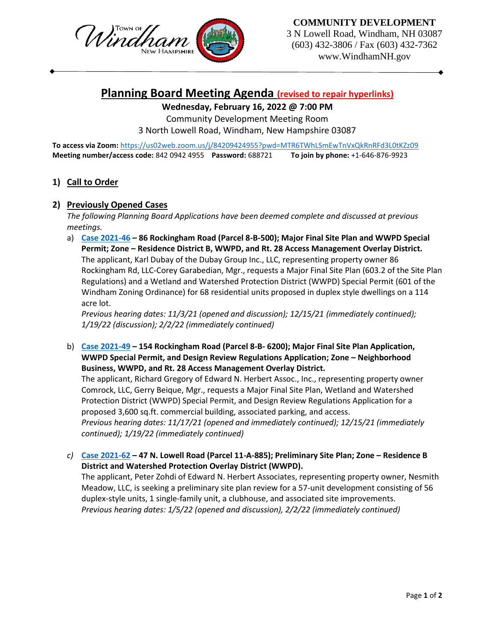



3 N Lowell Road, Windham, NH 03087 (603) 432-3806 / Fax (603) 432-7362 www.WindhamNH.gov

# **Planning Board Meeting Agenda (revised to repair hyperlinks)**

# **Wednesday, February 16, 2022 @ 7:00 PM**

Community Development Meeting Room

3 North Lowell Road, Windham, New Hampshire 03087

**To access via Zoom:** <https://us02web.zoom.us/j/84209424955?pwd=MTR6TWhLSmEwTnVxQkRnRFd3L0tKZz09> **Meeting number/access code:** 842 0942 4955 **Password:** 688721 **To join by phone:** +1-646-876-9923

## **1) Call to Order**

#### **2) Previously Opened Cases**

*The following Planning Board Applications have been deemed complete and discussed at previous meetings.* 

a) **[Case 2021-46](https://www.windhamnh.gov/DocumentCenter/Index/774) – 86 Rockingham Road (Parcel 8-B-500); Major Final Site Plan and WWPD Special Permit; Zone – Residence District B, WWPD, and Rt. 28 Access Management Overlay District.**  The applicant, Karl Dubay of the Dubay Group Inc., LLC, representing property owner 86 Rockingham Rd, LLC-Corey Garabedian, Mgr., requests a Major Final Site Plan (603.2 of the Site Plan Regulations) and a Wetland and Watershed Protection District (WWPD) Special Permit (601 of the Windham Zoning Ordinance) for 68 residential units proposed in duplex style dwellings on a 114 acre lot.

*Previous hearing dates: 11/3/21 (opened and discussion); 12/15/21 (immediately continued); 1/19/22 (discussion); 2/2/22 (immediately continued)*

b) **[Case 2021-49](https://www.windhamnh.gov/DocumentCenter/Index/777) – 154 Rockingham Road (Parcel 8-B- 6200); Major Final Site Plan Application, WWPD Special Permit, and Design Review Regulations Application; Zone – Neighborhood Business, WWPD, and Rt. 28 Access Management Overlay District.** 

The applicant, Richard Gregory of Edward N. Herbert Assoc., Inc., representing property owner Comrock, LLC, Gerry Beique, Mgr., requests a Major Final Site Plan, Wetland and Watershed Protection District (WWPD) Special Permit, and Design Review Regulations Application for a proposed 3,600 sq.ft. commercial building, associated parking, and access. *Previous hearing dates: 11/17/21 (opened and immediately continued); 12/15/21 (immediately continued); 1/19/22 (immediately continued)*

*c)* **[Case 2021-62](https://www.windhamnh.gov/DocumentCenter/Index/826) – 47 N. Lowell Road (Parcel 11-A-885); Preliminary Site Plan; Zone – Residence B District and Watershed Protection Overlay District (WWPD).** The applicant, Peter Zohdi of Edward N. Herbert Associates, representing property owner, Nesmith Meadow, LLC, is seeking a preliminary site plan review for a 57-unit development consisting of 56

duplex-style units, 1 single-family unit, a clubhouse, and associated site improvements. *Previous hearing dates: 1/5/22 (opened and discussion), 2/2/22 (immediately continued)*